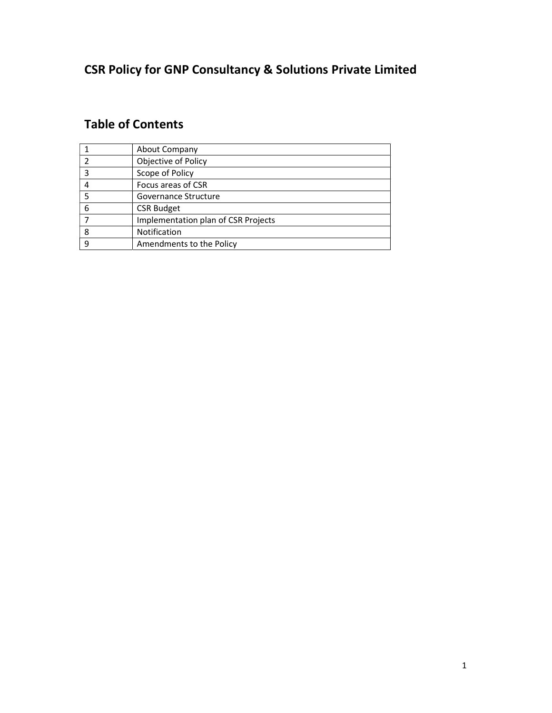# CSR Policy for GNP Consultancy & Solutions Private Limited

# Table of Contents

|   | About Company                       |
|---|-------------------------------------|
|   | Objective of Policy                 |
|   | Scope of Policy                     |
|   | Focus areas of CSR                  |
|   | Governance Structure                |
| 6 | <b>CSR Budget</b>                   |
|   | Implementation plan of CSR Projects |
| 8 | Notification                        |
| q | Amendments to the Policy            |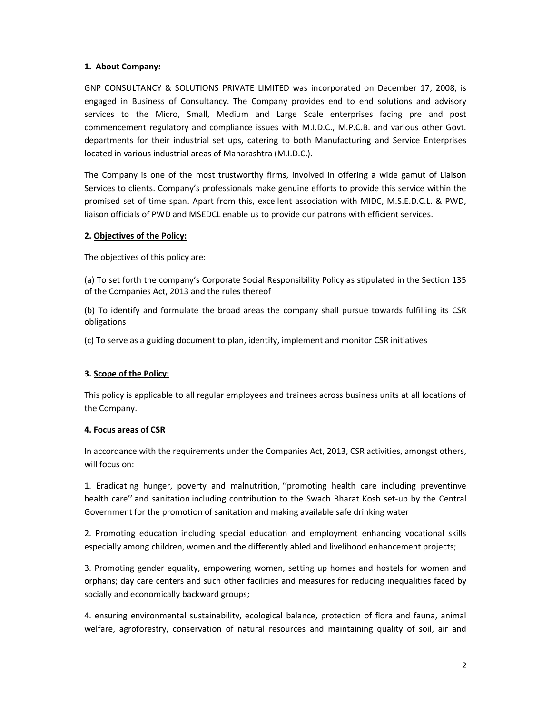#### 1. About Company:

GNP CONSULTANCY & SOLUTIONS PRIVATE LIMITED was incorporated on December 17, 2008, is engaged in Business of Consultancy. The Company provides end to end solutions and advisory services to the Micro, Small, Medium and Large Scale enterprises facing pre and post commencement regulatory and compliance issues with M.I.D.C., M.P.C.B. and various other Govt. departments for their industrial set ups, catering to both Manufacturing and Service Enterprises located in various industrial areas of Maharashtra (M.I.D.C.).

The Company is one of the most trustworthy firms, involved in offering a wide gamut of Liaison Services to clients. Company's professionals make genuine efforts to provide this service within the promised set of time span. Apart from this, excellent association with MIDC, M.S.E.D.C.L. & PWD, liaison officials of PWD and MSEDCL enable us to provide our patrons with efficient services.

#### 2. Objectives of the Policy:

The objectives of this policy are:

(a) To set forth the company's Corporate Social Responsibility Policy as stipulated in the Section 135 of the Companies Act, 2013 and the rules thereof

(b) To identify and formulate the broad areas the company shall pursue towards fulfilling its CSR obligations

(c) To serve as a guiding document to plan, identify, implement and monitor CSR initiatives

# 3. Scope of the Policy:

This policy is applicable to all regular employees and trainees across business units at all locations of the Company.

#### 4. Focus areas of CSR

In accordance with the requirements under the Companies Act, 2013, CSR activities, amongst others, will focus on:

1. Eradicating hunger, poverty and malnutrition, ''promoting health care including preventinve health care'' and sanitation including contribution to the Swach Bharat Kosh set-up by the Central Government for the promotion of sanitation and making available safe drinking water

2. Promoting education including special education and employment enhancing vocational skills especially among children, women and the differently abled and livelihood enhancement projects;

3. Promoting gender equality, empowering women, setting up homes and hostels for women and orphans; day care centers and such other facilities and measures for reducing inequalities faced by socially and economically backward groups;

4. ensuring environmental sustainability, ecological balance, protection of flora and fauna, animal welfare, agroforestry, conservation of natural resources and maintaining quality of soil, air and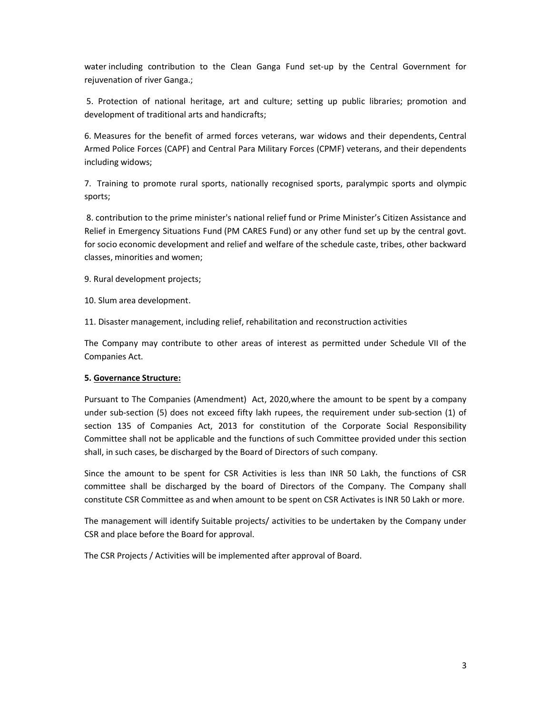water including contribution to the Clean Ganga Fund set-up by the Central Government for rejuvenation of river Ganga.;

 5. Protection of national heritage, art and culture; setting up public libraries; promotion and development of traditional arts and handicrafts;

6. Measures for the benefit of armed forces veterans, war widows and their dependents, Central Armed Police Forces (CAPF) and Central Para Military Forces (CPMF) veterans, and their dependents including widows;

7. Training to promote rural sports, nationally recognised sports, paralympic sports and olympic sports;

 8. contribution to the prime minister's national relief fund or Prime Minister's Citizen Assistance and Relief in Emergency Situations Fund (PM CARES Fund) or any other fund set up by the central govt. for socio economic development and relief and welfare of the schedule caste, tribes, other backward classes, minorities and women;

9. Rural development projects;

10. Slum area development.

11. Disaster management, including relief, rehabilitation and reconstruction activities

The Company may contribute to other areas of interest as permitted under Schedule VII of the Companies Act.

# 5. Governance Structure:

Pursuant to The Companies (Amendment) Act, 2020,where the amount to be spent by a company under sub-section (5) does not exceed fifty lakh rupees, the requirement under sub-section (1) of section 135 of Companies Act, 2013 for constitution of the Corporate Social Responsibility Committee shall not be applicable and the functions of such Committee provided under this section shall, in such cases, be discharged by the Board of Directors of such company.

Since the amount to be spent for CSR Activities is less than INR 50 Lakh, the functions of CSR committee shall be discharged by the board of Directors of the Company. The Company shall constitute CSR Committee as and when amount to be spent on CSR Activates is INR 50 Lakh or more.

The management will identify Suitable projects/ activities to be undertaken by the Company under CSR and place before the Board for approval.

The CSR Projects / Activities will be implemented after approval of Board.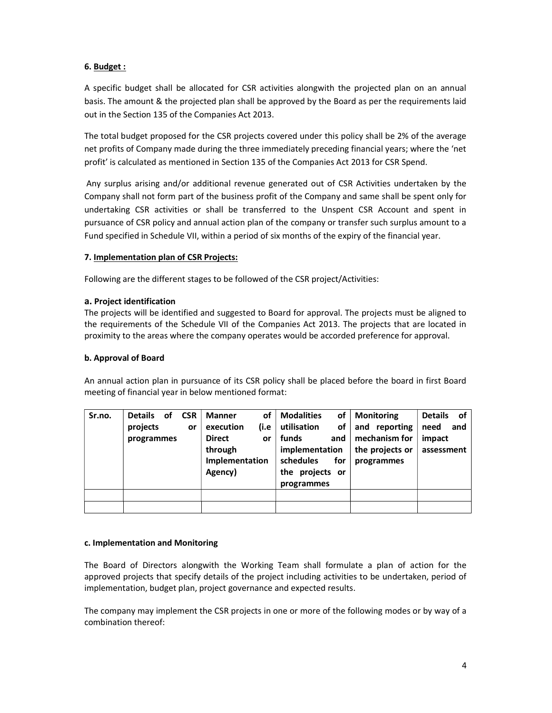# 6. Budget :

A specific budget shall be allocated for CSR activities alongwith the projected plan on an annual basis. The amount & the projected plan shall be approved by the Board as per the requirements laid out in the Section 135 of the Companies Act 2013.

The total budget proposed for the CSR projects covered under this policy shall be 2% of the average net profits of Company made during the three immediately preceding financial years; where the 'net profit' is calculated as mentioned in Section 135 of the Companies Act 2013 for CSR Spend.

 Any surplus arising and/or additional revenue generated out of CSR Activities undertaken by the Company shall not form part of the business profit of the Company and same shall be spent only for undertaking CSR activities or shall be transferred to the Unspent CSR Account and spent in pursuance of CSR policy and annual action plan of the company or transfer such surplus amount to a Fund specified in Schedule VII, within a period of six months of the expiry of the financial year.

#### 7. Implementation plan of CSR Projects:

Following are the different stages to be followed of the CSR project/Activities:

#### a. Project identification

The projects will be identified and suggested to Board for approval. The projects must be aligned to the requirements of the Schedule VII of the Companies Act 2013. The projects that are located in proximity to the areas where the company operates would be accorded preference for approval.

#### b. Approval of Board

An annual action plan in pursuance of its CSR policy shall be placed before the board in first Board meeting of financial year in below mentioned format:

| Sr.no. | <b>Details</b> | οf | <b>CSR</b> | <b>Manner</b>  | οf   | <b>Modalities</b> | of  | <b>Monitoring</b> | <b>Details</b><br>of |
|--------|----------------|----|------------|----------------|------|-------------------|-----|-------------------|----------------------|
|        | projects       |    | or         | execution      | (i.e | utilisation       | οf  | and reporting     | need<br>and          |
|        | programmes     |    |            | <b>Direct</b>  | or   | funds             | and | mechanism for     | impact               |
|        |                |    |            | through        |      | implementation    |     | the projects or   | assessment           |
|        |                |    |            | Implementation |      | schedules         | for | programmes        |                      |
|        |                |    |            | Agency)        |      | the projects or   |     |                   |                      |
|        |                |    |            |                |      | programmes        |     |                   |                      |
|        |                |    |            |                |      |                   |     |                   |                      |
|        |                |    |            |                |      |                   |     |                   |                      |

#### c. Implementation and Monitoring

The Board of Directors alongwith the Working Team shall formulate a plan of action for the approved projects that specify details of the project including activities to be undertaken, period of implementation, budget plan, project governance and expected results.

The company may implement the CSR projects in one or more of the following modes or by way of a combination thereof: